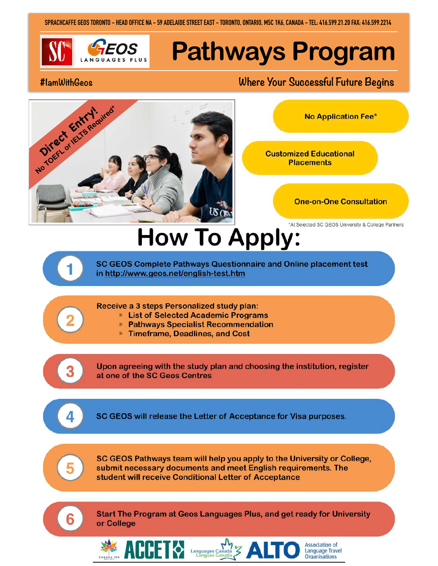SPRACHCAFFE GEOS TORONTO - HEAD OFFICE NA - 59 ADELAIDE STREET EAST - TORONTO, ONTARIO, M5C 1K6, CANADA - TEL: 416.599.21.20 FAX: 416.599.2214



# **Pathways Program**

#### #lamWithGeos

## Where Your Successful Future Begins



**No Application Fee\*** 

**Customized Educational Placements** 



Association of

**Language Travel** Organisations

\*At Selected SC GEOS University & College Partners

# **How To Apply:**

SC GEOS Complete Pathways Questionnaire and Online placement test in http://www.geos.net/english-test.htm

#### Receive a 3 steps Personalized study plan:

**ALLET 0** 

- **List of Selected Academic Programs**
- ▶ Pathways Specialist Recommendation
- Timeframe, Deadlines, and Cost

Upon agreeing with the study plan and choosing the institution, register at one of the SC Geos Centres

SC GEOS will release the Letter of Acceptance for Visa purposes.



SC GEOS Pathways team will help you apply to the University or College, submit necessary documents and meet English requirements. The student will receive Conditional Letter of Acceptance



Start The Program at Geos Languages Plus, and get ready for University or College

 $\Delta$  .

Languages Canada